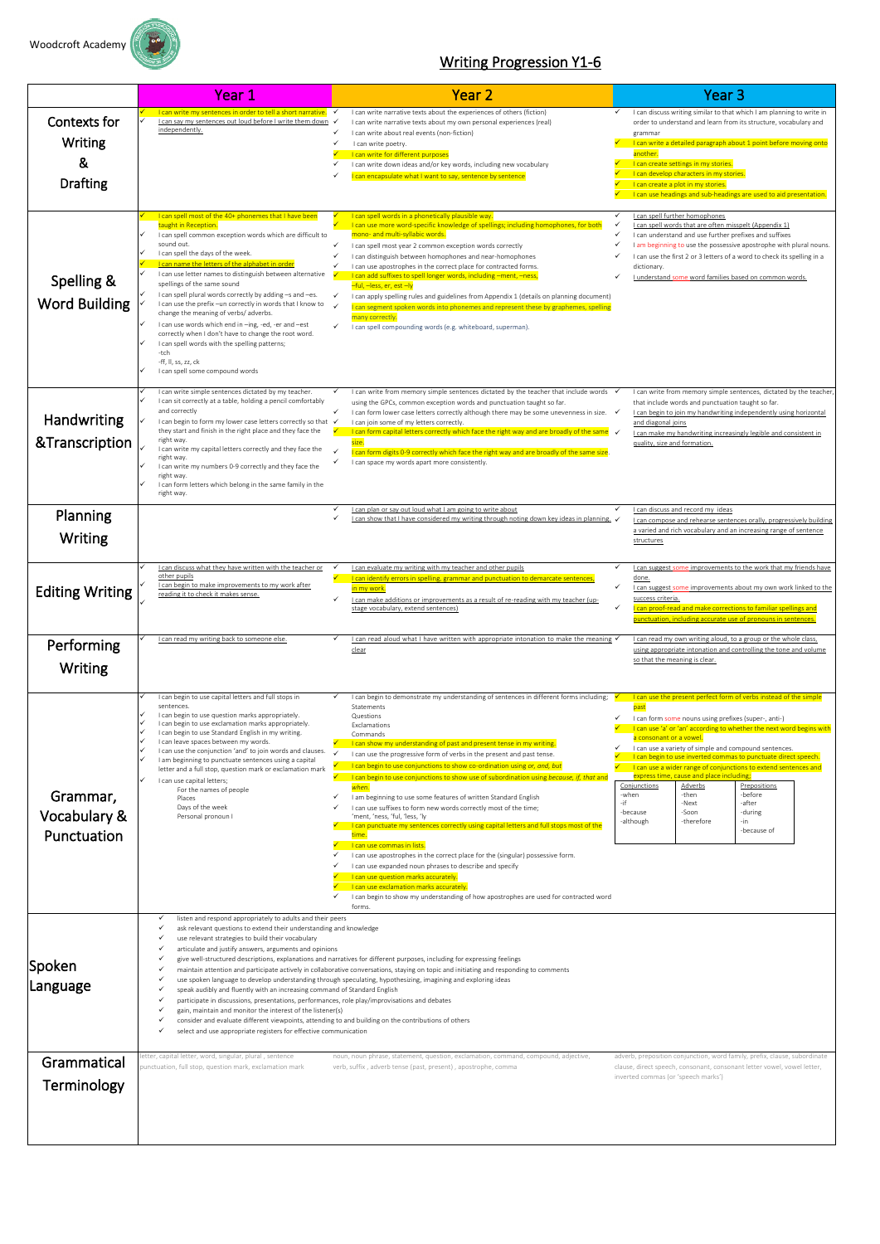

## Writing Progression Y1-6

|                                                 | Year 1                                                                                                                                                                                                                                                                                                                                                                                                                                                                                                                                                                                                                                                                                                                                                                                                                                                                                                                                                                                                                                                                                                                                                                              | <b>Year 2</b>                                                                                                                                                                                                                                                                                                                                                                                                                                                                                                                                                                                                                                                                                                                                                                                               | <b>Year 3</b>                                                                                                                                                                                                                                                                                                                                                                                                                                                                                                                                                                                                                                                          |  |
|-------------------------------------------------|-------------------------------------------------------------------------------------------------------------------------------------------------------------------------------------------------------------------------------------------------------------------------------------------------------------------------------------------------------------------------------------------------------------------------------------------------------------------------------------------------------------------------------------------------------------------------------------------------------------------------------------------------------------------------------------------------------------------------------------------------------------------------------------------------------------------------------------------------------------------------------------------------------------------------------------------------------------------------------------------------------------------------------------------------------------------------------------------------------------------------------------------------------------------------------------|-------------------------------------------------------------------------------------------------------------------------------------------------------------------------------------------------------------------------------------------------------------------------------------------------------------------------------------------------------------------------------------------------------------------------------------------------------------------------------------------------------------------------------------------------------------------------------------------------------------------------------------------------------------------------------------------------------------------------------------------------------------------------------------------------------------|------------------------------------------------------------------------------------------------------------------------------------------------------------------------------------------------------------------------------------------------------------------------------------------------------------------------------------------------------------------------------------------------------------------------------------------------------------------------------------------------------------------------------------------------------------------------------------------------------------------------------------------------------------------------|--|
| Contexts for<br>Writing<br>&<br><b>Drafting</b> | I can write my sentences in order to tell a short narrative. ✓<br>I can say my sentences out loud before I write them down<br>independently.                                                                                                                                                                                                                                                                                                                                                                                                                                                                                                                                                                                                                                                                                                                                                                                                                                                                                                                                                                                                                                        | I can write narrative texts about the experiences of others (fiction)<br>$\checkmark$<br>I can write narrative texts about my own personal experiences (real)<br>$\checkmark$<br>I can write about real events (non-fiction)<br>I can write poetry.<br>I can write for different purposes<br>I can write down ideas and/or key words, including new vocabulary<br>I can encapsulate what I want to say, sentence by sentence                                                                                                                                                                                                                                                                                                                                                                                | $\checkmark$ I can discuss writing similar to that which I am planning to write in<br>order to understand and learn from its structure, vocabulary and<br>grammar<br>I can write a detailed paragraph about 1 point before moving onto<br>another<br>I can create settings in my stories.<br>I can develop characters in my stories.<br>I can create a plot in my stories.<br>I can use headings and sub-headings are used to aid presentation.                                                                                                                                                                                                                        |  |
| Spelling &<br>Word Building                     | I can spell most of the 40+ phonemes that I have been<br>taught in Reception.<br>I can spell common exception words which are difficult to<br>sound out.<br>I can spell the days of the week.<br>I can name the letters of the alphabet in order<br>I can use letter names to distinguish between alternative<br>spellings of the same sound<br>I can spell plural words correctly by adding -s and -es.<br>I can use the prefix - un correctly in words that I know to<br>change the meaning of verbs/ adverbs.<br>I can use words which end in -ing, -ed, -er and -est<br>correctly when I don't have to change the root word.<br>I can spell words with the spelling patterns;<br>-tch<br>-ff, II, ss, zz, ck<br>I can spell some compound words                                                                                                                                                                                                                                                                                                                                                                                                                                 | I can spell words in a phonetically plausible way.<br>I can use more word-specific knowledge of spellings; including homophones, for both<br>mono- and multi-syllabic words.<br>I can spell most year 2 common exception words correctly<br>I can distinguish between homophones and near-homophones<br>$\checkmark$<br>I can use apostrophes in the correct place for contracted forms.<br>I can add suffixes to spell longer words, including -ment, -ness,<br>-ful, -less, er, est -ly<br>$\checkmark$<br>I can apply spelling rules and guidelines from Appendix 1 (details on planning document)<br>$\checkmark$<br>can segment spoken words into phonemes and represent these by graphemes, spelling<br>many correctly.<br>$\checkmark$<br>I can spell compounding words (e.g. whiteboard, superman). | I can spell further homophones<br>✓<br>I can spell words that are often misspelt (Appendix 1)<br>✓<br>I can understand and use further prefixes and suffixes<br>✓<br>I am beginning to use the possessive apostrophe with plural nouns.<br>✓<br>I can use the first 2 or 3 letters of a word to check its spelling in a<br>dictionary.<br>I understand some word families based on common words.<br>✓                                                                                                                                                                                                                                                                  |  |
| Handwriting<br>&Transcription                   | I can write simple sentences dictated by my teacher.<br>I can sit correctly at a table, holding a pencil comfortably<br>and correctly<br>I can begin to form my lower case letters correctly so that √<br>they start and finish in the right place and they face the<br>right way.<br>I can write my capital letters correctly and they face the<br>right way.<br>I can write my numbers 0-9 correctly and they face the<br>right way.<br>I can form letters which belong in the same family in the<br>right way.                                                                                                                                                                                                                                                                                                                                                                                                                                                                                                                                                                                                                                                                   | I can write from memory simple sentences dictated by the teacher that include words<br>✓<br>using the GPCs, common exception words and punctuation taught so far.<br>$\checkmark$<br>I can form lower case letters correctly although there may be some unevenness in size. $\checkmark$<br>I can join some of my letters correctly.<br>I can form capital letters correctly which face the right way and are broadly of the same $\checkmark$<br>size.<br>I can form digits 0-9 correctly which face the right way and are broadly of the same size.<br>I can space my words apart more consistently.                                                                                                                                                                                                      | I can write from memory simple sentences, dictated by the teacher,<br>that include words and punctuation taught so far.<br>I can begin to join my handwriting independently using horizontal<br>and diagonal joins<br>I can make my handwriting increasingly legible and consistent in<br>quality, size and formation.                                                                                                                                                                                                                                                                                                                                                 |  |
| Planning<br>Writing                             |                                                                                                                                                                                                                                                                                                                                                                                                                                                                                                                                                                                                                                                                                                                                                                                                                                                                                                                                                                                                                                                                                                                                                                                     | I can plan or say out loud what I am going to write about<br>$\checkmark$<br>I can show that I have considered my writing through noting down key ideas in planning. √                                                                                                                                                                                                                                                                                                                                                                                                                                                                                                                                                                                                                                      | I can discuss and record my ideas<br>✓<br>I can compose and rehearse sentences orally, progressively building<br>a varied and rich vocabulary and an increasing range of sentence<br>structures                                                                                                                                                                                                                                                                                                                                                                                                                                                                        |  |
| <b>Editing Writing</b>                          | I can discuss what they have written with the teacher or<br>other pupils<br>I can begin to make improvements to my work after<br>reading it to check it makes sense.                                                                                                                                                                                                                                                                                                                                                                                                                                                                                                                                                                                                                                                                                                                                                                                                                                                                                                                                                                                                                | I can evaluate my writing with my teacher and other pupils<br>I can identify errors in spelling, grammar and punctuation to demarcate sentences,<br>in my work.<br>$\checkmark$<br>I can make additions or improvements as a result of re-reading with my teacher (up-<br>stage vocabulary, extend sentences)                                                                                                                                                                                                                                                                                                                                                                                                                                                                                               | ✓<br>I can suggest some improvements to the work that my friends have<br>done.<br>$\checkmark$<br>I can suggest some improvements about my own work linked to the<br>success criteria.<br>$\checkmark$<br>I can proof-read and make corrections to familiar spellings and<br>punctuation, including accurate use of pronouns in sentences.                                                                                                                                                                                                                                                                                                                             |  |
| Performing<br>Writing                           | I can read my writing back to someone else.                                                                                                                                                                                                                                                                                                                                                                                                                                                                                                                                                                                                                                                                                                                                                                                                                                                                                                                                                                                                                                                                                                                                         | I can read aloud what I have written with appropriate intonation to make the meaning $\checkmark$<br>clear                                                                                                                                                                                                                                                                                                                                                                                                                                                                                                                                                                                                                                                                                                  | I can read my own writing aloud, to a group or the whole class,<br>using appropriate intonation and controlling the tone and volume<br>so that the meaning is clear.                                                                                                                                                                                                                                                                                                                                                                                                                                                                                                   |  |
| Grammar,<br>Vocabulary &<br>Punctuation         | I can begin to use capital letters and full stops in<br>sentences.<br>I can begin to use question marks appropriately.<br>I can begin to use exclamation marks appropriately.<br>I can begin to use Standard English in my writing.<br>I can leave spaces between my words.<br>I can use the conjunction 'and' to join words and clauses.<br>I am beginning to punctuate sentences using a capital<br>letter and a full stop, question mark or exclamation mark<br>I can use capital letters;<br>For the names of people<br>Places<br>Days of the week<br>Personal pronoun I                                                                                                                                                                                                                                                                                                                                                                                                                                                                                                                                                                                                        | I can begin to demonstrate my understanding of sentences in different forms including;<br>✓<br>Statements<br>Questions<br>Exclamations<br>Commands<br>I can show my understanding of past and present tense in my writing.<br>I can use the progressive form of verbs in the present and past tense.<br>I can begin to use conjunctions to show co-ordination using or, and, but<br>I can begin to use conjunctions to show use of subordination using because, if, that and<br>when.<br>I am beginning to use some features of written Standard English<br>I can use suffixes to form new words correctly most of the time;<br>'ment, 'ness, 'ful, 'less, 'ly<br>I can punctuate my sentences correctly using capital letters and full stops most of the<br>time.<br>I can use commas in lists.            | I can use the present perfect form of verbs instead of the simple<br>past<br>✓<br>I can form some nouns using prefixes (super-, anti-)<br>I can use 'a' or 'an' according to whether the next word begins with<br>a consonant or a vowel.<br>I can use a variety of simple and compound sentences.<br>I can begin to use inverted commas to punctuate direct speech.<br>I can use a wider range of conjunctions to extend sentences and<br>express time, cause and place including;<br>Conjunctions<br>Adverbs<br>Prepositions<br>-before<br>-when<br>-then<br>-if<br>-Next<br>-after<br>-Soon<br>-during<br>-because<br>-therefore<br>-although<br>-in<br>-because of |  |
|                                                 |                                                                                                                                                                                                                                                                                                                                                                                                                                                                                                                                                                                                                                                                                                                                                                                                                                                                                                                                                                                                                                                                                                                                                                                     | I can use apostrophes in the correct place for the (singular) possessive form.<br>I can use expanded noun phrases to describe and specify<br>I can use question marks accurately.<br>I can use exclamation marks accurately.<br>I can begin to show my understanding of how apostrophes are used for contracted word<br>forms.                                                                                                                                                                                                                                                                                                                                                                                                                                                                              |                                                                                                                                                                                                                                                                                                                                                                                                                                                                                                                                                                                                                                                                        |  |
| Spoken<br> <br>Language                         | listen and respond appropriately to adults and their peers<br>✓<br>ask relevant questions to extend their understanding and knowledge<br>$\checkmark$<br>use relevant strategies to build their vocabulary<br>✓<br>$\checkmark$<br>articulate and justify answers, arguments and opinions<br>give well-structured descriptions, explanations and narratives for different purposes, including for expressing feelings<br>$\checkmark$<br>maintain attention and participate actively in collaborative conversations, staying on topic and initiating and responding to comments<br>$\checkmark$<br>use spoken language to develop understanding through speculating, hypothesizing, imagining and exploring ideas<br>$\checkmark$<br>speak audibly and fluently with an increasing command of Standard English<br>$\checkmark$<br>participate in discussions, presentations, performances, role play/improvisations and debates<br>✓<br>gain, maintain and monitor the interest of the listener(s)<br>consider and evaluate different viewpoints, attending to and building on the contributions of others<br>select and use appropriate registers for effective communication<br>✓ |                                                                                                                                                                                                                                                                                                                                                                                                                                                                                                                                                                                                                                                                                                                                                                                                             |                                                                                                                                                                                                                                                                                                                                                                                                                                                                                                                                                                                                                                                                        |  |
| Grammatical<br>Terminology                      | letter, capital letter, word, singular, plural, sentence<br>punctuation, full stop, question mark, exclamation mark                                                                                                                                                                                                                                                                                                                                                                                                                                                                                                                                                                                                                                                                                                                                                                                                                                                                                                                                                                                                                                                                 | noun, noun phrase, statement, question, exclamation, command, compound, adjective,<br>verb, suffix, adverb tense (past, present), apostrophe, comma                                                                                                                                                                                                                                                                                                                                                                                                                                                                                                                                                                                                                                                         | adverb, preposition conjunction, word family, prefix, clause, subordinate<br>clause, direct speech, consonant, consonant letter vowel, vowel letter,<br>inverted commas (or 'speech marks')                                                                                                                                                                                                                                                                                                                                                                                                                                                                            |  |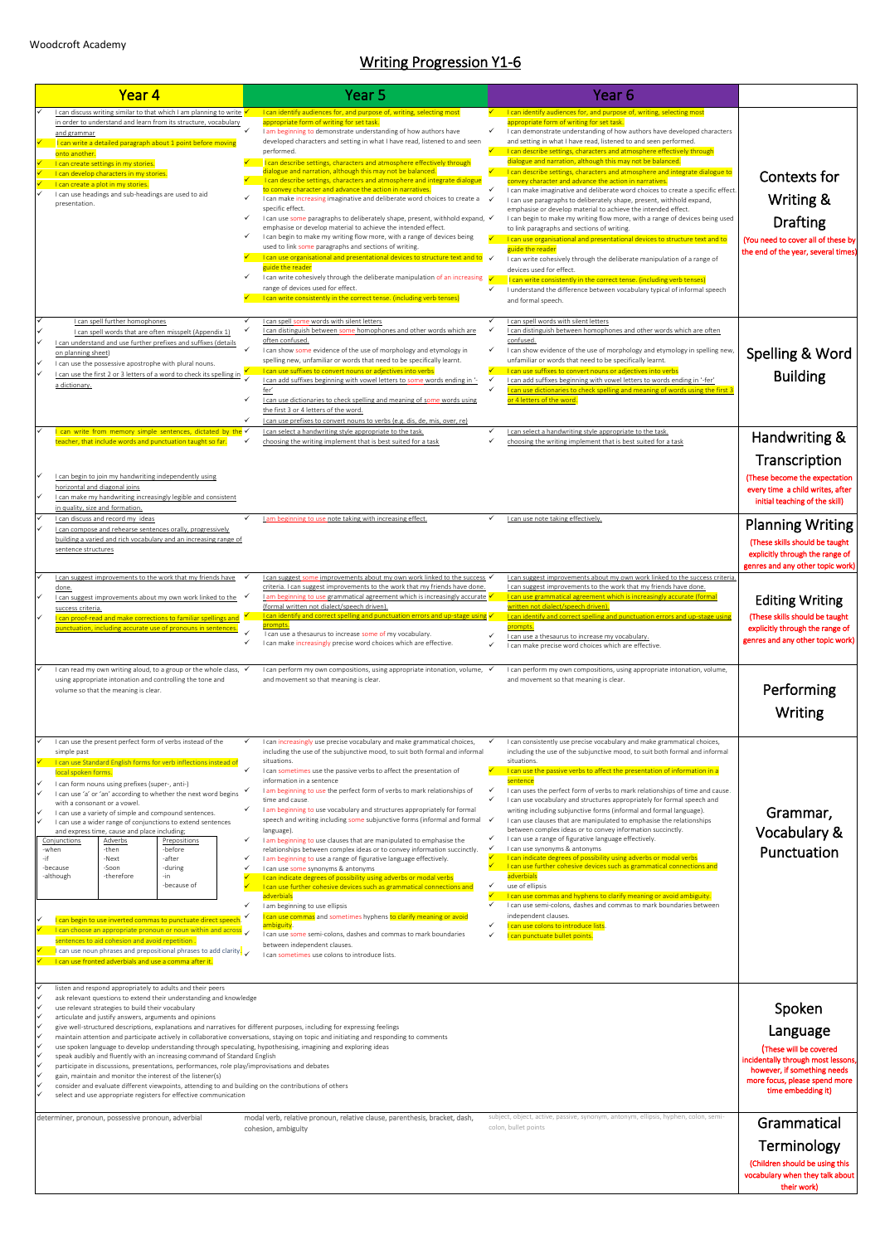## Writing Progression Y1-6

| Year 4                                                                                                                                                                                                                                                                                                                                                                                                                                                                                                                                                                                                                                                                                                                                                                                                                                                                                                                                                                                                                                                          | Year 5                                                                                                                                                                                                                                                                                                                                                                                                                                                                                                                                                                                                                                                                                                                                                                                                                                                                                                                                                                                                                                                                                                                                                                                                                                                                                          | Year 6                                                                                                                                                                                                                                                                                                                                                                                                                                                                                                                                                                                                                                                                                                                                                                                                                                                                                                                                                                                                                                                                                                                                                                                                                                                                                                                                         |                                                                                                                                                                                                                                                                     |
|-----------------------------------------------------------------------------------------------------------------------------------------------------------------------------------------------------------------------------------------------------------------------------------------------------------------------------------------------------------------------------------------------------------------------------------------------------------------------------------------------------------------------------------------------------------------------------------------------------------------------------------------------------------------------------------------------------------------------------------------------------------------------------------------------------------------------------------------------------------------------------------------------------------------------------------------------------------------------------------------------------------------------------------------------------------------|-------------------------------------------------------------------------------------------------------------------------------------------------------------------------------------------------------------------------------------------------------------------------------------------------------------------------------------------------------------------------------------------------------------------------------------------------------------------------------------------------------------------------------------------------------------------------------------------------------------------------------------------------------------------------------------------------------------------------------------------------------------------------------------------------------------------------------------------------------------------------------------------------------------------------------------------------------------------------------------------------------------------------------------------------------------------------------------------------------------------------------------------------------------------------------------------------------------------------------------------------------------------------------------------------|------------------------------------------------------------------------------------------------------------------------------------------------------------------------------------------------------------------------------------------------------------------------------------------------------------------------------------------------------------------------------------------------------------------------------------------------------------------------------------------------------------------------------------------------------------------------------------------------------------------------------------------------------------------------------------------------------------------------------------------------------------------------------------------------------------------------------------------------------------------------------------------------------------------------------------------------------------------------------------------------------------------------------------------------------------------------------------------------------------------------------------------------------------------------------------------------------------------------------------------------------------------------------------------------------------------------------------------------|---------------------------------------------------------------------------------------------------------------------------------------------------------------------------------------------------------------------------------------------------------------------|
| I can discuss writing similar to that which I am planning to write $\checkmark$<br>in order to understand and learn from its structure, vocabulary<br>and grammar<br>I can write a detailed paragraph about 1 point before moving<br>onto another.<br>I can create settings in my stories.<br>I can develop characters in my stories.<br>I can create a plot in my stories.<br>I can use headings and sub-headings are used to aid<br>✓<br>presentation.<br>✓<br>✓                                                                                                                                                                                                                                                                                                                                                                                                                                                                                                                                                                                              | I can identify audiences for, and purpose of, writing, selecting most<br>appropriate form of writing for set task.<br>$\checkmark$<br>I am beginning to demonstrate understanding of how authors have<br>developed characters and setting in what I have read, listened to and seen<br>performed.<br>I can describe settings, characters and atmosphere effectively through<br>dialogue and narration, although this may not be balanced.<br>I can describe settings, characters and atmosphere and integrate dialogue<br>to convey character and advance the action in narratives.<br>I can make increasing imaginative and deliberate word choices to create a<br>specific effect.<br>I can use some paragraphs to deliberately shape, present, withhold expand, √<br>emphasise or develop material to achieve the intended effect.<br>I can begin to make my writing flow more, with a range of devices being<br>used to link some paragraphs and sections of writing.<br>I can use organisational and presentational devices to structure text and to $\checkmark$<br>guide the reader<br>I can write cohesively through the deliberate manipulation of an increasing √<br>✓<br>range of devices used for effect.<br>I can write consistently in the correct tense. (including verb tenses) | I can identify audiences for, and purpose of, writing, selecting most<br>appropriate form of writing for set task.<br>$\checkmark$<br>I can demonstrate understanding of how authors have developed characters<br>and setting in what I have read, listened to and seen performed.<br>I can describe settings, characters and atmosphere effectively through<br>dialogue and narration, although this may not be balanced.<br>I can describe settings, characters and atmosphere and integrate dialogue to<br>convey character and advance the action in narratives.<br>✓<br>I can make imaginative and deliberate word choices to create a specific effect.<br>I can use paragraphs to deliberately shape, present, withhold expand,<br>emphasise or develop material to achieve the intended effect.<br>I can begin to make my writing flow more, with a range of devices being used<br>to link paragraphs and sections of writing.<br>I can use organisational and presentational devices to structure text and to<br>guide the reader<br>I can write cohesively through the deliberate manipulation of a range of<br>devices used for effect.<br>I can write consistently in the correct tense. (including verb tenses)<br>$\checkmark$<br>I understand the difference between vocabulary typical of informal speech<br>and formal speech. | <b>Contexts for</b><br>Writing &<br><b>Drafting</b><br>(You need to cover all of these by<br>the end of the year, several times)                                                                                                                                    |
| I can spell further homophones<br>✓<br>I can spell words that are often misspelt (Appendix 1)<br>I can understand and use further prefixes and suffixes (details<br>on planning sheet)<br>I can use the possessive apostrophe with plural nouns.<br>I can use the first 2 or 3 letters of a word to check its spelling in<br>a dictionary.<br>✓<br>$\checkmark$                                                                                                                                                                                                                                                                                                                                                                                                                                                                                                                                                                                                                                                                                                 | I can spell some words with silent letters<br>I can distinguish between some homophones and other words which are<br>often confused.<br>$\checkmark$<br>I can show some evidence of the use of morphology and etymology in<br>spelling new, unfamiliar or words that need to be specifically learnt.<br>I can use suffixes to convert nouns or adjectives into verbs<br>I can add suffixes beginning with vowel letters to some words ending in '-<br>fer'<br>I can use dictionaries to check spelling and meaning of some words using<br>the first 3 or 4 letters of the word.<br>I can use prefixes to convert nouns to verbs (e.g. dis, de, mis, over, re)                                                                                                                                                                                                                                                                                                                                                                                                                                                                                                                                                                                                                                   | $\checkmark$<br>I can spell words with silent letters<br>$\checkmark$<br>I can distinguish between homophones and other words which are often<br>confused.<br>$\checkmark$<br>I can show evidence of the use of morphology and etymology in spelling new<br>unfamiliar or words that need to be specifically learnt.<br>I can use suffixes to convert nouns or adjectives into verbs<br>I can add suffixes beginning with vowel letters to words ending in '-fer'<br>$\checkmark$<br>I can use dictionaries to check spelling and meaning of words using the first 3<br>or 4 letters of the word.                                                                                                                                                                                                                                                                                                                                                                                                                                                                                                                                                                                                                                                                                                                                              | Spelling & Word<br><b>Building</b>                                                                                                                                                                                                                                  |
| I can write from memory simple sentences, dictated by the $\checkmark$<br>teacher, that include words and punctuation taught so far.<br>✓<br>I can begin to join my handwriting independently using<br>horizontal and diagonal joins<br>I can make my handwriting increasingly legible and consistent<br>in quality, size and formation.                                                                                                                                                                                                                                                                                                                                                                                                                                                                                                                                                                                                                                                                                                                        | I can select a handwriting style appropriate to the task.<br>choosing the writing implement that is best suited for a task                                                                                                                                                                                                                                                                                                                                                                                                                                                                                                                                                                                                                                                                                                                                                                                                                                                                                                                                                                                                                                                                                                                                                                      | I can select a handwriting style appropriate to the task.<br>$\checkmark$<br>✓<br>choosing the writing implement that is best suited for a task                                                                                                                                                                                                                                                                                                                                                                                                                                                                                                                                                                                                                                                                                                                                                                                                                                                                                                                                                                                                                                                                                                                                                                                                | Handwriting &<br>Transcription<br>(These become the expectation<br>every time a child writes, after<br>initial teaching of the skill)                                                                                                                               |
| I can discuss and record my ideas<br>I can compose and rehearse sentences orally, progressively<br>building a varied and rich vocabulary and an increasing range of<br>sentence structures<br>I can suggest improvements to the work that my friends have<br>done.<br>I can suggest improvements about my own work linked to the $\checkmark$<br>success criteria<br>I can proof-read and make corrections to familiar spellings and V<br>punctuation, including accurate use of pronouns in sentences.<br>✓                                                                                                                                                                                                                                                                                                                                                                                                                                                                                                                                                    | I am beginning to use note taking with increasing effect.<br>I can suggest some improvements about my own work linked to the success √<br>criteria. I can suggest improvements to the work that my friends have done.<br>I am beginning to use grammatical agreement which is increasingly accurate $\checkmark$<br>(formal written not dialect/speech driven).<br>I can identify and correct spelling and punctuation errors and up-stage using $\checkmark$<br>prompts.<br>I can use a thesaurus to increase some of my vocabulary.<br>I can make increasingly precise word choices which are effective.                                                                                                                                                                                                                                                                                                                                                                                                                                                                                                                                                                                                                                                                                      | I can use note taking effectively.<br>I can suggest improvements about my own work linked to the success criteria.<br>I can suggest improvements to the work that my friends have done.<br>I can use grammatical agreement which is increasingly accurate (formal<br>written not dialect/speech driven).<br>I can identify and correct spelling and punctuation errors and up-stage using<br>prompts.<br>$\checkmark$<br>I can use a thesaurus to increase my vocabulary.<br>I can make precise word choices which are effective.<br>✓                                                                                                                                                                                                                                                                                                                                                                                                                                                                                                                                                                                                                                                                                                                                                                                                         | <b>Planning Writing</b><br>(These skills should be taught<br>explicitly through the range of<br>genres and any other topic work)<br><b>Editing Writing</b><br>(These skills should be taught<br>explicitly through the range of<br>genres and any other topic work) |
| I can read my own writing aloud, to a group or the whole class, √<br>using appropriate intonation and controlling the tone and<br>volume so that the meaning is clear.                                                                                                                                                                                                                                                                                                                                                                                                                                                                                                                                                                                                                                                                                                                                                                                                                                                                                          | I can perform my own compositions, using appropriate intonation, volume, $\checkmark$<br>and movement so that meaning is clear.                                                                                                                                                                                                                                                                                                                                                                                                                                                                                                                                                                                                                                                                                                                                                                                                                                                                                                                                                                                                                                                                                                                                                                 | I can perform my own compositions, using appropriate intonation, volume,<br>and movement so that meaning is clear.                                                                                                                                                                                                                                                                                                                                                                                                                                                                                                                                                                                                                                                                                                                                                                                                                                                                                                                                                                                                                                                                                                                                                                                                                             | Performing<br>Writing                                                                                                                                                                                                                                               |
| I can use the present perfect form of verbs instead of the<br>✓<br>simple past<br>I can use Standard English forms for verb inflections instead of<br>local spoken forms.<br>I can form nouns using prefixes (super-, anti-)<br>✓<br>I can use 'a' or 'an' according to whether the next word begins<br>with a consonant or a vowel.<br>I can use a variety of simple and compound sentences.<br>I can use a wider range of conjunctions to extend sentences<br>and express time, cause and place including;<br><b>Adverbs</b><br>Conjunctions<br>Prepositions<br>-then<br>-before<br>-when<br>-if<br>-Next<br>-after<br>✓<br>-Soon<br>-during<br>-because<br>✓<br>-therefore<br>-although<br>-in-<br>-because of<br>I can begin to use inverted commas to punctuate direct speech.<br>I can choose an appropriate pronoun or noun within and across $\checkmark$<br>sentences to aid cohesion and avoid repetition.<br>$\blacksquare$ can use noun phrases and prepositional phrases to add clarity.<br>I can use fronted adverbials and use a comma after it. | I can increasingly use precise vocabulary and make grammatical choices,<br>including the use of the subjunctive mood, to suit both formal and informal<br>situations.<br>$\checkmark$<br>I can sometimes use the passive verbs to affect the presentation of<br>information in a sentence<br>I am beginning to use the perfect form of verbs to mark relationships of<br>time and cause.<br>✓<br>I am beginning to use vocabulary and structures appropriately for formal<br>speech and writing including some subjunctive forms (informal and formal √<br>language).<br>✓<br>I am beginning to use clauses that are manipulated to emphasise the<br>relationships between complex ideas or to convey information succinctly.<br>I am beginning to use a range of figurative language effectively.<br>I can use some synonyms & antonyms<br>I can indicate degrees of possibility using adverbs or modal verbs<br>I can use further cohesive devices such as grammatical connections and<br>adverbials<br>I am beginning to use ellipsis<br>I can use commas and sometimes hyphens to clarify meaning or avoid<br>ambiguity.<br>I can use some semi-colons, dashes and commas to mark boundaries<br>between independent clauses.<br>I can sometimes use colons to introduce lists.              | I can consistently use precise vocabulary and make grammatical choices,<br>including the use of the subjunctive mood, to suit both formal and informal<br>situations.<br>$\checkmark$<br>I can use the passive verbs to affect the presentation of information in a<br>sentence<br>I can uses the perfect form of verbs to mark relationships of time and cause.<br>$\checkmark$<br>$\checkmark$<br>I can use vocabulary and structures appropriately for formal speech and<br>writing including subjunctive forms (informal and formal language).<br>I can use clauses that are manipulated to emphasise the relationships<br>between complex ideas or to convey information succinctly.<br>✓<br>I can use a range of figurative language effectively.<br>$\checkmark$<br>I can use synonyms & antonyms<br>I can indicate degrees of possibility using adverbs or modal verbs<br>I can use further cohesive devices such as grammatical connections and<br>adverbials<br>use of ellipsis<br>$\checkmark$<br>I can use commas and hyphens to clarify meaning or avoid ambiguity.<br>$\checkmark$<br>I can use semi-colons, dashes and commas to mark boundaries between<br>independent clauses.<br>I can use colons to introduce lists.<br>✓<br>✓<br>I can punctuate bullet points.                                                            | Grammar,<br>Vocabulary &<br>Punctuation                                                                                                                                                                                                                             |
| listen and respond appropriately to adults and their peers<br>ask relevant questions to extend their understanding and knowledge<br>use relevant strategies to build their vocabulary<br>articulate and justify answers, arguments and opinions<br>give well-structured descriptions, explanations and narratives for different purposes, including for expressing feelings<br>use spoken language to develop understanding through speculating, hypothesising, imagining and exploring ideas<br>speak audibly and fluently with an increasing command of Standard English<br>participate in discussions, presentations, performances, role play/improvisations and debates<br>gain, maintain and monitor the interest of the listener(s)<br>consider and evaluate different viewpoints, attending to and building on the contributions of others<br>select and use appropriate registers for effective communication<br>determiner, pronoun, possessive pronoun, adverbial                                                                                     | maintain attention and participate actively in collaborative conversations, staying on topic and initiating and responding to comments<br>modal verb, relative pronoun, relative clause, parenthesis, bracket, dash,                                                                                                                                                                                                                                                                                                                                                                                                                                                                                                                                                                                                                                                                                                                                                                                                                                                                                                                                                                                                                                                                            | subject, object, active, passive, synonym, antonym, ellipsis, hyphen, colon, semi-                                                                                                                                                                                                                                                                                                                                                                                                                                                                                                                                                                                                                                                                                                                                                                                                                                                                                                                                                                                                                                                                                                                                                                                                                                                             | Spoken<br>Language<br>(These will be covered<br>incidentally through most lessons<br>however, if something needs<br>more focus, please spend more<br>time embedding it)                                                                                             |
|                                                                                                                                                                                                                                                                                                                                                                                                                                                                                                                                                                                                                                                                                                                                                                                                                                                                                                                                                                                                                                                                 | cohesion, ambiguity                                                                                                                                                                                                                                                                                                                                                                                                                                                                                                                                                                                                                                                                                                                                                                                                                                                                                                                                                                                                                                                                                                                                                                                                                                                                             | colon, bullet points                                                                                                                                                                                                                                                                                                                                                                                                                                                                                                                                                                                                                                                                                                                                                                                                                                                                                                                                                                                                                                                                                                                                                                                                                                                                                                                           | Grammatical<br>Terminology<br>(Children should be using this<br>vocabulary when they talk about<br>their work)                                                                                                                                                      |